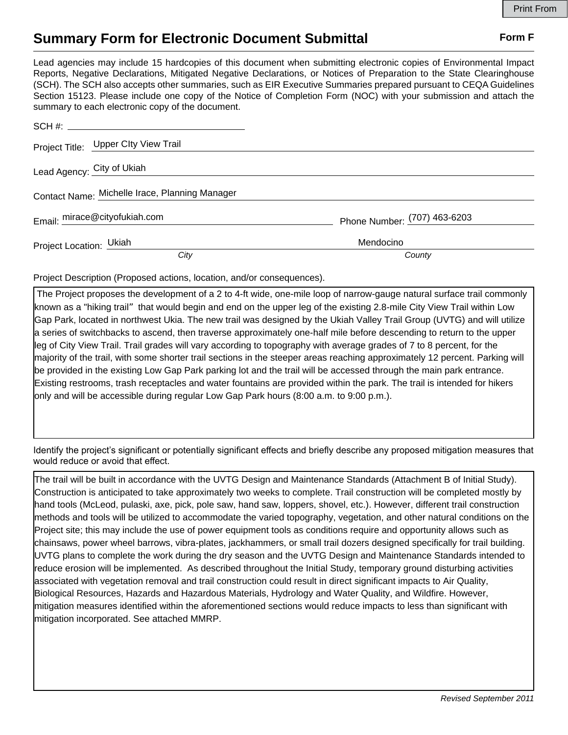## **Summary Form for Electronic Document Submittal Form F Form F**

Lead agencies may include 15 hardcopies of this document when submitting electronic copies of Environmental Impact Reports, Negative Declarations, Mitigated Negative Declarations, or Notices of Preparation to the State Clearinghouse (SCH). The SCH also accepts other summaries, such as EIR Executive Summaries prepared pursuant to CEQA Guidelines Section 15123. Please include one copy of the Notice of Completion Form (NOC) with your submission and attach the summary to each electronic copy of the document.

|                            | Project Title: Upper Clty View Trail           |                              |
|----------------------------|------------------------------------------------|------------------------------|
| Lead Agency: City of Ukiah |                                                |                              |
|                            | Contact Name: Michelle Irace, Planning Manager |                              |
|                            | Email: mirace@cityofukiah.com                  | Phone Number: (707) 463-6203 |
| Project Location: Ukiah    |                                                | Mendocino                    |
|                            | City                                           | County                       |

Project Description (Proposed actions, location, and/or consequences).

 The Project proposes the development of a 2 to 4-ft wide, one-mile loop of narrow-gauge natural surface trail commonly known as a "hiking trail" that would begin and end on the upper leg of the existing 2.8-mile City View Trail within Low Gap Park, located in northwest Ukia. The new trail was designed by the Ukiah Valley Trail Group (UVTG) and will utilize a series of switchbacks to ascend, then traverse approximately one-half mile before descending to return to the upper leg of City View Trail. Trail grades will vary according to topography with average grades of 7 to 8 percent, for the majority of the trail, with some shorter trail sections in the steeper areas reaching approximately 12 percent. Parking will be provided in the existing Low Gap Park parking lot and the trail will be accessed through the main park entrance. Existing restrooms, trash receptacles and water fountains are provided within the park. The trail is intended for hikers only and will be accessible during regular Low Gap Park hours (8:00 a.m. to 9:00 p.m.).

Identify the project's significant or potentially significant effects and briefly describe any proposed mitigation measures that would reduce or avoid that effect.

The trail will be built in accordance with the UVTG Design and Maintenance Standards (Attachment B of Initial Study). Construction is anticipated to take approximately two weeks to complete. Trail construction will be completed mostly by hand tools (McLeod, pulaski, axe, pick, pole saw, hand saw, loppers, shovel, etc.). However, different trail construction methods and tools will be utilized to accommodate the varied topography, vegetation, and other natural conditions on the Project site; this may include the use of power equipment tools as conditions require and opportunity allows such as chainsaws, power wheel barrows, vibra-plates, jackhammers, or small trail dozers designed specifically for trail building. UVTG plans to complete the work during the dry season and the UVTG Design and Maintenance Standards intended to reduce erosion will be implemented. As described throughout the Initial Study, temporary ground disturbing activities associated with vegetation removal and trail construction could result in direct significant impacts to Air Quality, Biological Resources, Hazards and Hazardous Materials, Hydrology and Water Quality, and Wildfire. However, mitigation measures identified within the aforementioned sections would reduce impacts to less than significant with mitigation incorporated. See attached MMRP.